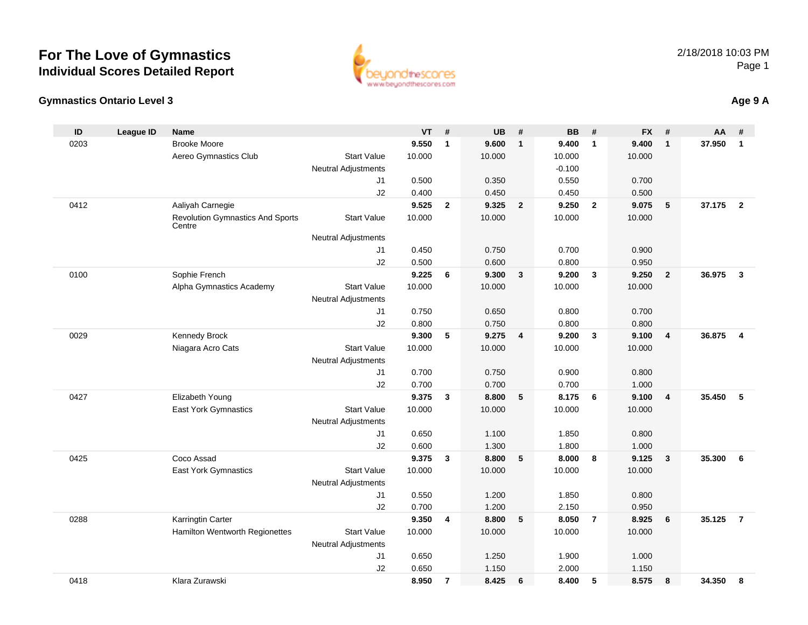

#### **Gymnastics Ontario Level 3Age 9 A**

| ID   | <b>League ID</b> | <b>Name</b>                                       |                                              | <b>VT</b> | #              | <b>UB</b> | #              | <b>BB</b> | #              | <b>FX</b> | #              | AA     | #                       |
|------|------------------|---------------------------------------------------|----------------------------------------------|-----------|----------------|-----------|----------------|-----------|----------------|-----------|----------------|--------|-------------------------|
| 0203 |                  | <b>Brooke Moore</b>                               |                                              | 9.550     | $\mathbf{1}$   | 9.600     | $\mathbf{1}$   | 9.400     | $\mathbf{1}$   | 9.400     | $\mathbf{1}$   | 37.950 | $\mathbf{1}$            |
|      |                  | Aereo Gymnastics Club                             | <b>Start Value</b>                           | 10.000    |                | 10.000    |                | 10.000    |                | 10.000    |                |        |                         |
|      |                  |                                                   | <b>Neutral Adjustments</b>                   |           |                |           |                | $-0.100$  |                |           |                |        |                         |
|      |                  |                                                   | J1                                           | 0.500     |                | 0.350     |                | 0.550     |                | 0.700     |                |        |                         |
|      |                  |                                                   | J2                                           | 0.400     |                | 0.450     |                | 0.450     |                | 0.500     |                |        |                         |
| 0412 |                  | Aaliyah Carnegie                                  |                                              | 9.525     | $\overline{2}$ | 9.325     | $\overline{2}$ | 9.250     | $\overline{2}$ | 9.075     | 5              | 37.175 | $\overline{2}$          |
|      |                  | <b>Revolution Gymnastics And Sports</b><br>Centre | <b>Start Value</b>                           | 10.000    |                | 10.000    |                | 10.000    |                | 10.000    |                |        |                         |
|      |                  |                                                   | <b>Neutral Adjustments</b>                   |           |                |           |                |           |                |           |                |        |                         |
|      |                  |                                                   | J1                                           | 0.450     |                | 0.750     |                | 0.700     |                | 0.900     |                |        |                         |
|      |                  |                                                   | J2                                           | 0.500     |                | 0.600     |                | 0.800     |                | 0.950     |                |        |                         |
| 0100 |                  | Sophie French                                     |                                              | 9.225     | 6              | 9.300     | $\mathbf{3}$   | 9.200     | $\mathbf{3}$   | 9.250     | $\overline{2}$ | 36.975 | $\overline{\mathbf{3}}$ |
|      |                  | Alpha Gymnastics Academy                          | <b>Start Value</b>                           | 10.000    |                | 10.000    |                | 10.000    |                | 10.000    |                |        |                         |
|      |                  |                                                   | <b>Neutral Adjustments</b>                   |           |                |           |                |           |                |           |                |        |                         |
|      |                  |                                                   | J1                                           | 0.750     |                | 0.650     |                | 0.800     |                | 0.700     |                |        |                         |
|      |                  |                                                   | J2                                           | 0.800     |                | 0.750     |                | 0.800     |                | 0.800     |                |        |                         |
| 0029 |                  | Kennedy Brock                                     |                                              | 9.300     | 5              | 9.275     | $\overline{4}$ | 9.200     | $\mathbf{3}$   | 9.100     | $\overline{4}$ | 36.875 | $\overline{4}$          |
|      |                  | Niagara Acro Cats                                 | <b>Start Value</b>                           | 10.000    |                | 10.000    |                | 10.000    |                | 10.000    |                |        |                         |
|      |                  |                                                   | <b>Neutral Adjustments</b>                   |           |                |           |                |           |                |           |                |        |                         |
|      |                  |                                                   | J <sub>1</sub>                               | 0.700     |                | 0.750     |                | 0.900     |                | 0.800     |                |        |                         |
|      |                  |                                                   | J2                                           | 0.700     |                | 0.700     |                | 0.700     |                | 1.000     |                |        |                         |
| 0427 |                  | Elizabeth Young                                   |                                              | 9.375     | $\mathbf{3}$   | 8.800     | 5              | 8.175     | 6              | 9.100     | $\overline{4}$ | 35.450 | 5                       |
|      |                  | <b>East York Gymnastics</b>                       | <b>Start Value</b>                           | 10.000    |                | 10.000    |                | 10.000    |                | 10.000    |                |        |                         |
|      |                  |                                                   | <b>Neutral Adjustments</b>                   |           |                |           |                |           |                |           |                |        |                         |
|      |                  |                                                   | J1                                           | 0.650     |                | 1.100     |                | 1.850     |                | 0.800     |                |        |                         |
|      |                  | Coco Assad                                        | J2                                           | 0.600     |                | 1.300     | 5              | 1.800     | 8              | 1.000     |                |        |                         |
| 0425 |                  |                                                   |                                              | 9.375     | $\mathbf{3}$   | 8.800     |                | 8.000     |                | 9.125     | $\overline{3}$ | 35.300 | 6                       |
|      |                  | East York Gymnastics                              | <b>Start Value</b>                           | 10.000    |                | 10.000    |                | 10.000    |                | 10.000    |                |        |                         |
|      |                  |                                                   | <b>Neutral Adjustments</b><br>J <sub>1</sub> | 0.550     |                | 1.200     |                | 1.850     |                | 0.800     |                |        |                         |
|      |                  |                                                   | J2                                           | 0.700     |                | 1.200     |                | 2.150     |                | 0.950     |                |        |                         |
| 0288 |                  | Karringtin Carter                                 |                                              | 9.350     | $\overline{4}$ | 8.800     | - 5            | 8.050     | $\overline{7}$ | 8.925     | 6              | 35.125 | $\overline{7}$          |
|      |                  | Hamilton Wentworth Regionettes                    | <b>Start Value</b>                           | 10.000    |                | 10.000    |                | 10.000    |                | 10.000    |                |        |                         |
|      |                  |                                                   | <b>Neutral Adjustments</b>                   |           |                |           |                |           |                |           |                |        |                         |
|      |                  |                                                   | J1                                           | 0.650     |                | 1.250     |                | 1.900     |                | 1.000     |                |        |                         |
|      |                  |                                                   | J2                                           | 0.650     |                | 1.150     |                | 2.000     |                | 1.150     |                |        |                         |
| 0418 |                  | Klara Zurawski                                    |                                              | 8.950     | $\overline{7}$ | 8.425     | 6              | 8.400     | 5              | 8.575     | 8              | 34.350 | 8                       |
|      |                  |                                                   |                                              |           |                |           |                |           |                |           |                |        |                         |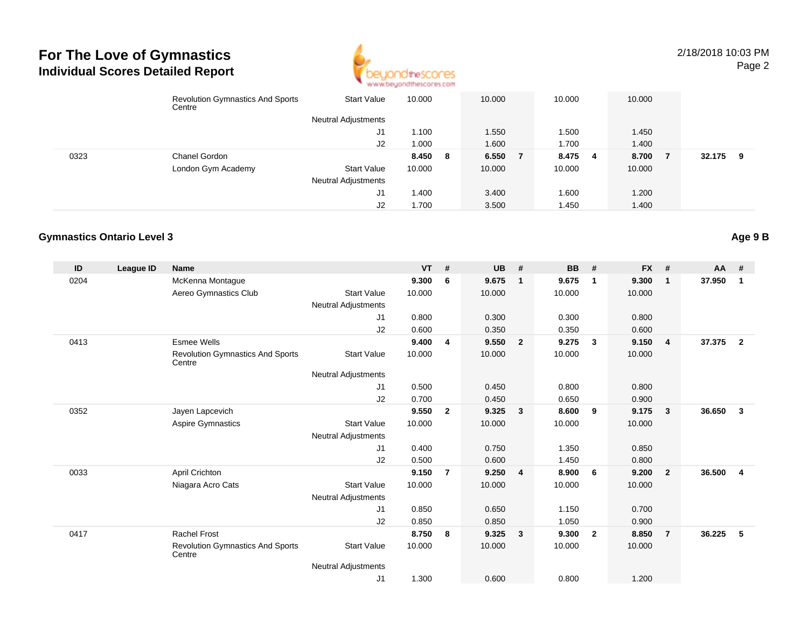

|      | <b>Revolution Gymnastics And Sports</b><br>Centre | <b>Start Value</b>         | 10.000  | 10.000 |     | 10.000 |    | 10.000 |        |     |  |
|------|---------------------------------------------------|----------------------------|---------|--------|-----|--------|----|--------|--------|-----|--|
|      |                                                   | <b>Neutral Adjustments</b> |         |        |     |        |    |        |        |     |  |
|      |                                                   | J1                         | 1.100   | 1.550  |     | 1.500  |    | 1.450  |        |     |  |
|      |                                                   | J2                         | 1.000   | 1.600  |     | 1.700  |    | 1.400  |        |     |  |
| 0323 | Chanel Gordon                                     |                            | 8.450 8 | 6.550  | - 7 | 8.475  | -4 | 8.700  | 32.175 | - 9 |  |
|      | London Gym Academy                                | <b>Start Value</b>         | 10.000  | 10.000 |     | 10.000 |    | 10.000 |        |     |  |
|      |                                                   | <b>Neutral Adjustments</b> |         |        |     |        |    |        |        |     |  |
|      |                                                   | J1                         | 1.400   | 3.400  |     | 1.600  |    | 1.200  |        |     |  |
|      |                                                   | J2                         | 1.700   | 3.500  |     | 1.450  |    | 1.400  |        |     |  |

### **Gymnastics Ontario Level 3**

| ID   | <b>League ID</b> | Name                                              |                            | <b>VT</b> | #              | <b>UB</b> | #                       | <b>BB</b> | #              | <b>FX</b> | #              | <b>AA</b> | #                       |
|------|------------------|---------------------------------------------------|----------------------------|-----------|----------------|-----------|-------------------------|-----------|----------------|-----------|----------------|-----------|-------------------------|
| 0204 |                  | McKenna Montaque                                  |                            | 9.300     | 6              | 9.675     | $\overline{1}$          | 9.675     | $\mathbf{1}$   | 9.300     | $\mathbf{1}$   | 37.950    | $\mathbf{1}$            |
|      |                  | Aereo Gymnastics Club                             | <b>Start Value</b>         | 10.000    |                | 10.000    |                         | 10.000    |                | 10.000    |                |           |                         |
|      |                  |                                                   | <b>Neutral Adjustments</b> |           |                |           |                         |           |                |           |                |           |                         |
|      |                  |                                                   | J1                         | 0.800     |                | 0.300     |                         | 0.300     |                | 0.800     |                |           |                         |
|      |                  |                                                   | J2                         | 0.600     |                | 0.350     |                         | 0.350     |                | 0.600     |                |           |                         |
| 0413 |                  | <b>Esmee Wells</b>                                |                            | 9.400     | 4              | 9.550     | $\overline{2}$          | 9.275     | $\mathbf{3}$   | 9.150     | 4              | 37.375    | $\overline{2}$          |
|      |                  | <b>Revolution Gymnastics And Sports</b><br>Centre | <b>Start Value</b>         | 10.000    |                | 10.000    |                         | 10.000    |                | 10.000    |                |           |                         |
|      |                  |                                                   | Neutral Adjustments        |           |                |           |                         |           |                |           |                |           |                         |
|      |                  |                                                   | J1                         | 0.500     |                | 0.450     |                         | 0.800     |                | 0.800     |                |           |                         |
|      |                  |                                                   | J2                         | 0.700     |                | 0.450     |                         | 0.650     |                | 0.900     |                |           |                         |
| 0352 |                  | Jayen Lapcevich                                   |                            | 9.550     | $\overline{2}$ | 9.325     | $\overline{\mathbf{3}}$ | 8.600     | 9              | 9.175     | $\mathbf{3}$   | 36.650    | $\overline{\mathbf{3}}$ |
|      |                  | Aspire Gymnastics                                 | <b>Start Value</b>         | 10.000    |                | 10.000    |                         | 10.000    |                | 10.000    |                |           |                         |
|      |                  |                                                   | <b>Neutral Adjustments</b> |           |                |           |                         |           |                |           |                |           |                         |
|      |                  |                                                   | J1                         | 0.400     |                | 0.750     |                         | 1.350     |                | 0.850     |                |           |                         |
|      |                  |                                                   | J2                         | 0.500     |                | 0.600     |                         | 1.450     |                | 0.800     |                |           |                         |
| 0033 |                  | April Crichton                                    |                            | 9.150     | $\overline{7}$ | 9.250     | $\overline{4}$          | 8.900     | 6              | 9.200     | $\overline{2}$ | 36.500    | $\overline{4}$          |
|      |                  | Niagara Acro Cats                                 | <b>Start Value</b>         | 10.000    |                | 10.000    |                         | 10.000    |                | 10.000    |                |           |                         |
|      |                  |                                                   | <b>Neutral Adjustments</b> |           |                |           |                         |           |                |           |                |           |                         |
|      |                  |                                                   | J1                         | 0.850     |                | 0.650     |                         | 1.150     |                | 0.700     |                |           |                         |
|      |                  |                                                   | J2                         | 0.850     |                | 0.850     |                         | 1.050     |                | 0.900     |                |           |                         |
| 0417 |                  | <b>Rachel Frost</b>                               |                            | 8.750     | 8              | 9.325     | $\overline{\mathbf{3}}$ | 9.300     | $\overline{2}$ | 8.850     | $\overline{7}$ | 36.225    | 5                       |
|      |                  | <b>Revolution Gymnastics And Sports</b><br>Centre | <b>Start Value</b>         | 10.000    |                | 10.000    |                         | 10.000    |                | 10.000    |                |           |                         |
|      |                  |                                                   | Neutral Adjustments        |           |                |           |                         |           |                |           |                |           |                         |
|      |                  |                                                   | J1                         | 1.300     |                | 0.600     |                         | 0.800     |                | 1.200     |                |           |                         |

**Age 9 B**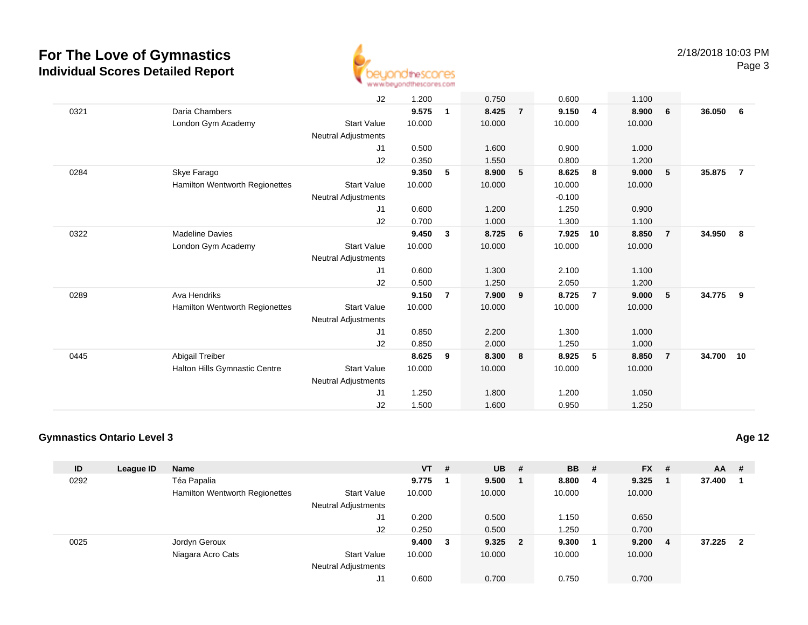

|      |                                       | J2                         | 1.200  |                | 0.750  |                | 0.600    |                | 1.100  |                |           |                |
|------|---------------------------------------|----------------------------|--------|----------------|--------|----------------|----------|----------------|--------|----------------|-----------|----------------|
| 0321 | Daria Chambers                        |                            | 9.575  | 1              | 8.425  | $\overline{7}$ | 9.150    | $\overline{4}$ | 8.900  | 6              | 36.050    | - 6            |
|      | London Gym Academy                    | <b>Start Value</b>         | 10.000 |                | 10.000 |                | 10.000   |                | 10.000 |                |           |                |
|      |                                       | Neutral Adjustments        |        |                |        |                |          |                |        |                |           |                |
|      |                                       | J1                         | 0.500  |                | 1.600  |                | 0.900    |                | 1.000  |                |           |                |
|      |                                       | J2                         | 0.350  |                | 1.550  |                | 0.800    |                | 1.200  |                |           |                |
| 0284 | Skye Farago                           |                            | 9.350  | 5              | 8.900  | 5              | 8.625    | 8              | 9.000  | 5              | 35.875    | $\overline{7}$ |
|      | Hamilton Wentworth Regionettes        | <b>Start Value</b>         | 10.000 |                | 10.000 |                | 10.000   |                | 10.000 |                |           |                |
|      |                                       | <b>Neutral Adjustments</b> |        |                |        |                | $-0.100$ |                |        |                |           |                |
|      |                                       | J1                         | 0.600  |                | 1.200  |                | 1.250    |                | 0.900  |                |           |                |
|      |                                       | J2                         | 0.700  |                | 1.000  |                | 1.300    |                | 1.100  |                |           |                |
| 0322 | <b>Madeline Davies</b>                |                            | 9.450  | 3              | 8.725  | 6              | 7.925    | 10             | 8.850  | $\overline{7}$ | 34.950    | 8              |
|      | London Gym Academy                    | <b>Start Value</b>         | 10.000 |                | 10.000 |                | 10.000   |                | 10.000 |                |           |                |
|      |                                       | Neutral Adjustments        |        |                |        |                |          |                |        |                |           |                |
|      |                                       | J1                         | 0.600  |                | 1.300  |                | 2.100    |                | 1.100  |                |           |                |
|      |                                       | J2                         | 0.500  |                | 1.250  |                | 2.050    |                | 1.200  |                |           |                |
| 0289 | Ava Hendriks                          |                            | 9.150  | $\overline{7}$ | 7.900  | 9              | 8.725    | $\overline{7}$ | 9.000  | $-5$           | 34.775    | 9              |
|      | <b>Hamilton Wentworth Regionettes</b> | <b>Start Value</b>         | 10.000 |                | 10.000 |                | 10.000   |                | 10.000 |                |           |                |
|      |                                       | Neutral Adjustments        |        |                |        |                |          |                |        |                |           |                |
|      |                                       | J1                         | 0.850  |                | 2.200  |                | 1.300    |                | 1.000  |                |           |                |
|      |                                       | J2                         | 0.850  |                | 2.000  |                | 1.250    |                | 1.000  |                |           |                |
| 0445 | Abigail Treiber                       |                            | 8.625  | 9              | 8.300  | 8              | 8.925    | 5              | 8.850  | $\overline{7}$ | 34.700 10 |                |
|      | Halton Hills Gymnastic Centre         | <b>Start Value</b>         | 10.000 |                | 10.000 |                | 10.000   |                | 10.000 |                |           |                |
|      |                                       | Neutral Adjustments        |        |                |        |                |          |                |        |                |           |                |
|      |                                       | J1                         | 1.250  |                | 1.800  |                | 1.200    |                | 1.050  |                |           |                |
|      |                                       | J2                         | 1.500  |                | 1.600  |                | 0.950    |                | 1.250  |                |           |                |

### **Gymnastics Ontario Level 3**

| ID   | League ID | <b>Name</b>                    |                            | $VT$ # |   | $UB$ #    | <b>BB</b> | # | $FX$ # |                | <b>AA</b> | #                       |
|------|-----------|--------------------------------|----------------------------|--------|---|-----------|-----------|---|--------|----------------|-----------|-------------------------|
| 0292 |           | Téa Papalia                    |                            | 9.775  |   | 9.500     | 8.800 4   |   | 9.325  |                | 37.400    |                         |
|      |           | Hamilton Wentworth Regionettes | <b>Start Value</b>         | 10.000 |   | 10.000    | 10.000    |   | 10.000 |                |           |                         |
|      |           |                                | <b>Neutral Adjustments</b> |        |   |           |           |   |        |                |           |                         |
|      |           |                                | J1                         | 0.200  |   | 0.500     | 1.150     |   | 0.650  |                |           |                         |
|      |           |                                | J2                         | 0.250  |   | 0.500     | 1.250     |   | 0.700  |                |           |                         |
| 0025 |           | Jordyn Geroux                  |                            | 9.400  | 3 | $9.325$ 2 | 9.300     |   | 9.200  | $\overline{4}$ | 37.225    | $\overline{\mathbf{2}}$ |
|      |           | Niagara Acro Cats              | <b>Start Value</b>         | 10.000 |   | 10.000    | 10.000    |   | 10.000 |                |           |                         |
|      |           |                                | <b>Neutral Adjustments</b> |        |   |           |           |   |        |                |           |                         |
|      |           |                                | J1                         | 0.600  |   | 0.700     | 0.750     |   | 0.700  |                |           |                         |

**Age 12**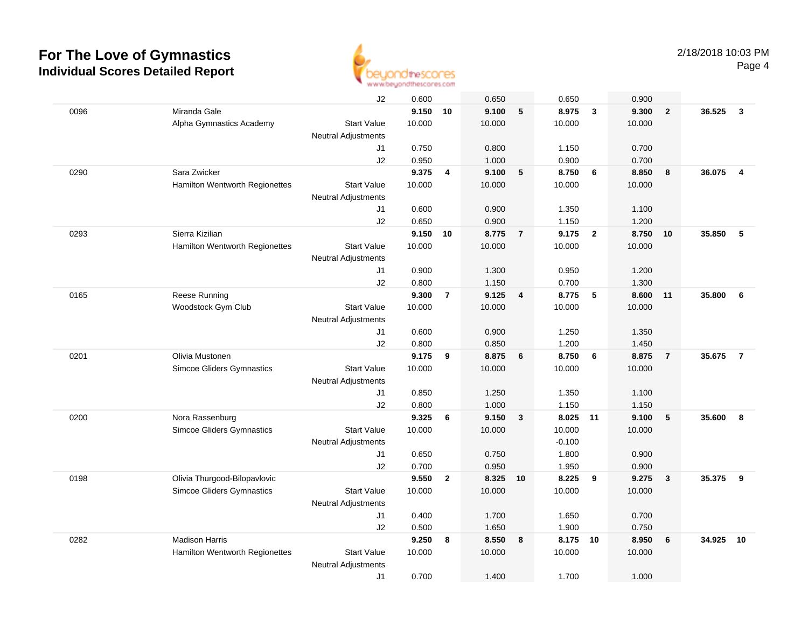

|      |                                       | J2                         | 0.600  |                | 0.650  |                 | 0.650    |                         | 0.900  |                |        |                |
|------|---------------------------------------|----------------------------|--------|----------------|--------|-----------------|----------|-------------------------|--------|----------------|--------|----------------|
| 0096 | Miranda Gale                          |                            | 9.150  | 10             | 9.100  | $5\phantom{.0}$ | 8.975    | $\mathbf{3}$            | 9.300  | $\overline{2}$ | 36.525 | $\mathbf{3}$   |
|      | Alpha Gymnastics Academy              | <b>Start Value</b>         | 10.000 |                | 10.000 |                 | 10.000   |                         | 10.000 |                |        |                |
|      |                                       | <b>Neutral Adjustments</b> |        |                |        |                 |          |                         |        |                |        |                |
|      |                                       | J1                         | 0.750  |                | 0.800  |                 | 1.150    |                         | 0.700  |                |        |                |
|      |                                       | J2                         | 0.950  |                | 1.000  |                 | 0.900    |                         | 0.700  |                |        |                |
| 0290 | Sara Zwicker                          |                            | 9.375  | 4              | 9.100  | 5               | 8.750    | 6                       | 8.850  | 8              | 36.075 | $\overline{4}$ |
|      | <b>Hamilton Wentworth Regionettes</b> | <b>Start Value</b>         | 10.000 |                | 10.000 |                 | 10.000   |                         | 10.000 |                |        |                |
|      |                                       | <b>Neutral Adjustments</b> |        |                |        |                 |          |                         |        |                |        |                |
|      |                                       | J1                         | 0.600  |                | 0.900  |                 | 1.350    |                         | 1.100  |                |        |                |
|      |                                       | J2                         | 0.650  |                | 0.900  |                 | 1.150    |                         | 1.200  |                |        |                |
| 0293 | Sierra Kizilian                       |                            | 9.150  | 10             | 8.775  | $\overline{7}$  | 9.175    | $\overline{\mathbf{2}}$ | 8.750  | 10             | 35.850 | 5              |
|      | Hamilton Wentworth Regionettes        | <b>Start Value</b>         | 10.000 |                | 10.000 |                 | 10.000   |                         | 10.000 |                |        |                |
|      |                                       | <b>Neutral Adjustments</b> |        |                |        |                 |          |                         |        |                |        |                |
|      |                                       | J1                         | 0.900  |                | 1.300  |                 | 0.950    |                         | 1.200  |                |        |                |
|      |                                       | J2                         | 0.800  |                | 1.150  |                 | 0.700    |                         | 1.300  |                |        |                |
| 0165 | Reese Running                         |                            | 9.300  | $\overline{7}$ | 9.125  | $\overline{4}$  | 8.775    | 5                       | 8.600  | 11             | 35.800 | 6              |
|      | Woodstock Gym Club                    | <b>Start Value</b>         | 10.000 |                | 10.000 |                 | 10.000   |                         | 10.000 |                |        |                |
|      |                                       | <b>Neutral Adjustments</b> |        |                |        |                 |          |                         |        |                |        |                |
|      |                                       | J1                         | 0.600  |                | 0.900  |                 | 1.250    |                         | 1.350  |                |        |                |
|      |                                       | J2                         | 0.800  |                | 0.850  |                 | 1.200    |                         | 1.450  |                |        |                |
| 0201 | Olivia Mustonen                       |                            | 9.175  | 9              | 8.875  | 6               | 8.750    | 6                       | 8.875  | $\overline{7}$ | 35.675 | $\overline{7}$ |
|      | <b>Simcoe Gliders Gymnastics</b>      | <b>Start Value</b>         | 10.000 |                | 10.000 |                 | 10.000   |                         | 10.000 |                |        |                |
|      |                                       | <b>Neutral Adjustments</b> |        |                |        |                 |          |                         |        |                |        |                |
|      |                                       | J1                         | 0.850  |                | 1.250  |                 | 1.350    |                         | 1.100  |                |        |                |
|      |                                       | J2                         | 0.800  |                | 1.000  |                 | 1.150    |                         | 1.150  |                |        |                |
| 0200 | Nora Rassenburg                       |                            | 9.325  | 6              | 9.150  | 3               | 8.025    | - 11                    | 9.100  | $\sqrt{5}$     | 35.600 | 8              |
|      | Simcoe Gliders Gymnastics             | <b>Start Value</b>         | 10.000 |                | 10.000 |                 | 10.000   |                         | 10.000 |                |        |                |
|      |                                       | <b>Neutral Adjustments</b> |        |                |        |                 | $-0.100$ |                         |        |                |        |                |
|      |                                       | J1                         | 0.650  |                | 0.750  |                 | 1.800    |                         | 0.900  |                |        |                |
|      |                                       | J2                         | 0.700  |                | 0.950  |                 | 1.950    |                         | 0.900  |                |        |                |
| 0198 | Olivia Thurgood-Bilopavlovic          |                            | 9.550  | $\overline{2}$ | 8.325  | 10              | 8.225    | $_{9}$                  | 9.275  | $\mathbf{3}$   | 35.375 | 9              |
|      | Simcoe Gliders Gymnastics             | <b>Start Value</b>         | 10.000 |                | 10.000 |                 | 10.000   |                         | 10.000 |                |        |                |
|      |                                       | <b>Neutral Adjustments</b> |        |                |        |                 |          |                         |        |                |        |                |
|      |                                       | J1                         | 0.400  |                | 1.700  |                 | 1.650    |                         | 0.700  |                |        |                |
|      |                                       | J2                         | 0.500  |                | 1.650  |                 | 1.900    |                         | 0.750  |                |        |                |
| 0282 | <b>Madison Harris</b>                 |                            | 9.250  | 8              | 8.550  | 8               | 8.175    | 10                      | 8.950  | 6              | 34.925 | 10             |
|      | Hamilton Wentworth Regionettes        | <b>Start Value</b>         | 10.000 |                | 10.000 |                 | 10.000   |                         | 10.000 |                |        |                |
|      |                                       | <b>Neutral Adjustments</b> |        |                |        |                 |          |                         |        |                |        |                |
|      |                                       | J1                         | 0.700  |                | 1.400  |                 | 1.700    |                         | 1.000  |                |        |                |
|      |                                       |                            |        |                |        |                 |          |                         |        |                |        |                |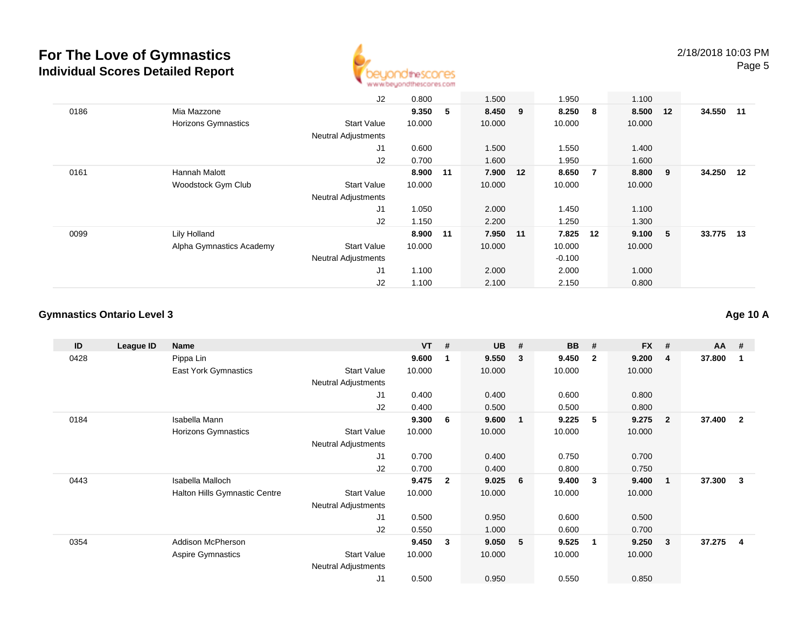

|      |                          | J2                         | 0.800  |    | 1.500    |    | 1.950    |    | 1.100    |     |           |  |
|------|--------------------------|----------------------------|--------|----|----------|----|----------|----|----------|-----|-----------|--|
| 0186 | Mia Mazzone              |                            | 9.350  | 5  | 8.450 9  |    | 8.250    | -8 | 8.500 12 |     | 34.550 11 |  |
|      | Horizons Gymnastics      | <b>Start Value</b>         | 10.000 |    | 10.000   |    | 10.000   |    | 10.000   |     |           |  |
|      |                          | <b>Neutral Adjustments</b> |        |    |          |    |          |    |          |     |           |  |
|      |                          | J <sub>1</sub>             | 0.600  |    | 1.500    |    | 1.550    |    | 1.400    |     |           |  |
|      |                          | J2                         | 0.700  |    | 1.600    |    | 1.950    |    | 1.600    |     |           |  |
| 0161 | Hannah Malott            |                            | 8.900  | 11 | 7.900    | 12 | 8.650    | -7 | 8.800    | - 9 | 34.250 12 |  |
|      | Woodstock Gym Club       | <b>Start Value</b>         | 10.000 |    | 10.000   |    | 10.000   |    | 10.000   |     |           |  |
|      |                          | <b>Neutral Adjustments</b> |        |    |          |    |          |    |          |     |           |  |
|      |                          | J1                         | 1.050  |    | 2.000    |    | 1.450    |    | 1.100    |     |           |  |
|      |                          | J2                         | 1.150  |    | 2.200    |    | 1.250    |    | 1.300    |     |           |  |
| 0099 | Lily Holland             |                            | 8.900  | 11 | 7.950 11 |    | 7.825    | 12 | 9.100 5  |     | 33.775 13 |  |
|      | Alpha Gymnastics Academy | <b>Start Value</b>         | 10.000 |    | 10.000   |    | 10.000   |    | 10.000   |     |           |  |
|      |                          | <b>Neutral Adjustments</b> |        |    |          |    | $-0.100$ |    |          |     |           |  |
|      |                          | J <sub>1</sub>             | 1.100  |    | 2.000    |    | 2.000    |    | 1.000    |     |           |  |
|      |                          | J2                         | 1.100  |    | 2.100    |    | 2.150    |    | 0.800    |     |           |  |

#### **Gymnastics Ontario Level 3**

**ID League ID Name VT # UB # BB # FX # AA #** 0428 Pippa Lin **9.600 <sup>1</sup> 9.550 <sup>3</sup> 9.450 <sup>2</sup> 9.200 <sup>4</sup> 37.800 <sup>1</sup>** East York Gymnastics Start Valuee 10.000 10.000 10.000 10.000 Neutral Adjustments J1 0.400 0.400 0.600 0.800 J2 0.400 0.500 0.500 0.800 0184 Isabella Mann **9.300 <sup>6</sup> 9.600 <sup>1</sup> 9.225 <sup>5</sup> 9.275 <sup>2</sup> 37.400 <sup>2</sup>** Horizons Gymnastics Start Valuee 10.000 10.000 10.000 10.000 Neutral Adjustments J1 0.700 0.400 0.750 0.700 J2 0.700 0.400 0.800 0.750 0443 Isabella Malloch **9.475 <sup>2</sup> 9.025 <sup>6</sup> 9.400 <sup>3</sup> 9.400 <sup>1</sup> 37.300 <sup>3</sup>** Halton Hills Gymnastic Centre Start Value 10.000 10.000 10.000 10.000 Neutral Adjustments J1 0.500 0.950 0.600 0.500 J2 0.550 1.000 0.600 0.700 0354 Addison McPherson **9.450 <sup>3</sup> 9.050 <sup>5</sup> 9.525 <sup>1</sup> 9.250 <sup>3</sup> 37.275 <sup>4</sup>** Aspire Gymnastics Start Valuee 10.000 10.000 10.000 10.000 Neutral Adjustments J10.500 0.950 0.550 0.850

**Age 10 A**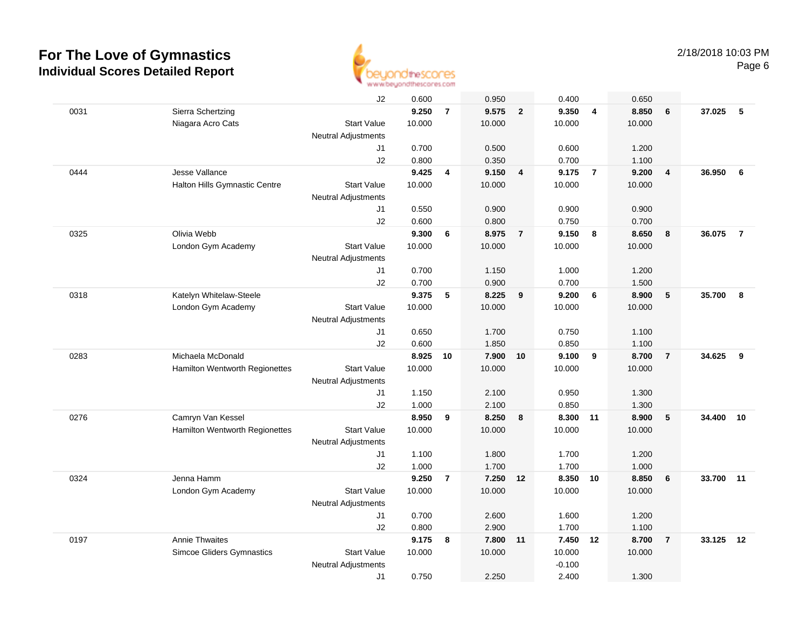

|      |                                       | J2                         | 0.600  |                | 0.950    |                         | 0.400    |                | 0.650  |                         |        |                |
|------|---------------------------------------|----------------------------|--------|----------------|----------|-------------------------|----------|----------------|--------|-------------------------|--------|----------------|
| 0031 | Sierra Schertzing                     |                            | 9.250  | $\overline{7}$ | 9.575    | $\overline{2}$          | 9.350    | $\overline{4}$ | 8.850  | 6                       | 37.025 | 5              |
|      | Niagara Acro Cats                     | <b>Start Value</b>         | 10.000 |                | 10.000   |                         | 10.000   |                | 10.000 |                         |        |                |
|      |                                       | <b>Neutral Adjustments</b> |        |                |          |                         |          |                |        |                         |        |                |
|      |                                       | J1                         | 0.700  |                | 0.500    |                         | 0.600    |                | 1.200  |                         |        |                |
|      |                                       | J2                         | 0.800  |                | 0.350    |                         | 0.700    |                | 1.100  |                         |        |                |
| 0444 | Jesse Vallance                        |                            | 9.425  | 4              | 9.150    | $\overline{\mathbf{4}}$ | 9.175    | $\overline{7}$ | 9.200  | $\overline{\mathbf{4}}$ | 36.950 | 6              |
|      | Halton Hills Gymnastic Centre         | <b>Start Value</b>         | 10.000 |                | 10.000   |                         | 10.000   |                | 10.000 |                         |        |                |
|      |                                       | Neutral Adjustments        |        |                |          |                         |          |                |        |                         |        |                |
|      |                                       | J1                         | 0.550  |                | 0.900    |                         | 0.900    |                | 0.900  |                         |        |                |
|      |                                       | J2                         | 0.600  |                | 0.800    |                         | 0.750    |                | 0.700  |                         |        |                |
| 0325 | Olivia Webb                           |                            | 9.300  | 6              | 8.975    | $\overline{7}$          | 9.150    | - 8            | 8.650  | 8                       | 36.075 | $\overline{7}$ |
|      | London Gym Academy                    | <b>Start Value</b>         | 10.000 |                | 10.000   |                         | 10.000   |                | 10.000 |                         |        |                |
|      |                                       | Neutral Adjustments        |        |                |          |                         |          |                |        |                         |        |                |
|      |                                       | J1                         | 0.700  |                | 1.150    |                         | 1.000    |                | 1.200  |                         |        |                |
|      |                                       | J2                         | 0.700  |                | 0.900    |                         | 0.700    |                | 1.500  |                         |        |                |
| 0318 | Katelyn Whitelaw-Steele               |                            | 9.375  | 5              | 8.225    | 9                       | 9.200    | 6              | 8.900  | 5                       | 35.700 | 8              |
|      | London Gym Academy                    | <b>Start Value</b>         | 10.000 |                | 10.000   |                         | 10.000   |                | 10.000 |                         |        |                |
|      |                                       | <b>Neutral Adjustments</b> |        |                |          |                         |          |                |        |                         |        |                |
|      |                                       | J1                         | 0.650  |                | 1.700    |                         | 0.750    |                | 1.100  |                         |        |                |
|      |                                       | J2                         | 0.600  |                | 1.850    |                         | 0.850    |                | 1.100  |                         |        |                |
| 0283 | Michaela McDonald                     |                            | 8.925  | 10             | 7.900    | 10                      | 9.100    | 9              | 8.700  | $\overline{7}$          | 34.625 | 9              |
|      | <b>Hamilton Wentworth Regionettes</b> | <b>Start Value</b>         | 10.000 |                | 10.000   |                         | 10.000   |                | 10.000 |                         |        |                |
|      |                                       | Neutral Adjustments        |        |                |          |                         |          |                |        |                         |        |                |
|      |                                       | J1                         | 1.150  |                | 2.100    |                         | 0.950    |                | 1.300  |                         |        |                |
|      |                                       | J2                         | 1.000  |                | 2.100    |                         | 0.850    |                | 1.300  |                         |        |                |
| 0276 | Camryn Van Kessel                     |                            | 8.950  | 9              | 8.250    | 8                       | 8.300    | $-11$          | 8.900  | 5                       | 34.400 | 10             |
|      | Hamilton Wentworth Regionettes        | <b>Start Value</b>         | 10.000 |                | 10.000   |                         | 10.000   |                | 10.000 |                         |        |                |
|      |                                       | <b>Neutral Adjustments</b> |        |                |          |                         |          |                |        |                         |        |                |
|      |                                       | J1                         | 1.100  |                | 1.800    |                         | 1.700    |                | 1.200  |                         |        |                |
|      |                                       | J2                         | 1.000  |                | 1.700    |                         | 1.700    |                | 1.000  |                         |        |                |
| 0324 | Jenna Hamm                            |                            | 9.250  | $\overline{7}$ | 7.250 12 |                         | 8.350 10 |                | 8.850  | 6                       | 33.700 | 11             |
|      | London Gym Academy                    | <b>Start Value</b>         | 10.000 |                | 10.000   |                         | 10.000   |                | 10.000 |                         |        |                |
|      |                                       | <b>Neutral Adjustments</b> |        |                |          |                         |          |                |        |                         |        |                |
|      |                                       | J1                         | 0.700  |                | 2.600    |                         | 1.600    |                | 1.200  |                         |        |                |
|      |                                       | J2                         | 0.800  |                | 2.900    |                         | 1.700    |                | 1.100  |                         |        |                |
| 0197 | <b>Annie Thwaites</b>                 |                            | 9.175  | 8              | 7.800    | 11                      | 7.450    | 12             | 8.700  | $\overline{7}$          | 33.125 | 12             |
|      | <b>Simcoe Gliders Gymnastics</b>      | <b>Start Value</b>         | 10.000 |                | 10.000   |                         | 10.000   |                | 10.000 |                         |        |                |
|      |                                       | <b>Neutral Adjustments</b> |        |                |          |                         | $-0.100$ |                |        |                         |        |                |
|      |                                       | J1                         | 0.750  |                | 2.250    |                         | 2.400    |                | 1.300  |                         |        |                |
|      |                                       |                            |        |                |          |                         |          |                |        |                         |        |                |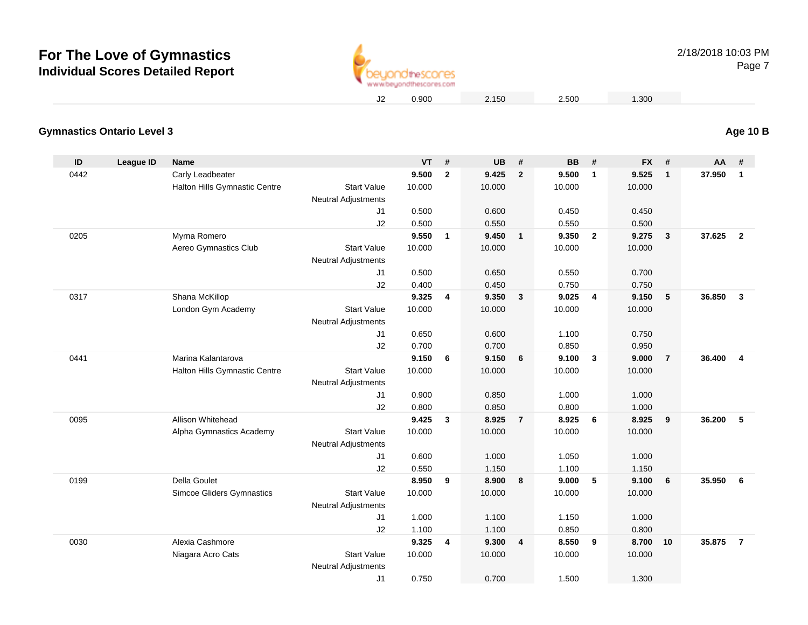

0.900 2.150 2.500 1.300

#### **Gymnastics Ontario Level 3Age 10 B**

| ID   | League ID | <b>Name</b>                      |                                           | <b>VT</b> | #            | <b>UB</b> | #              | <b>BB</b> | #              | <b>FX</b> | #              | AA     | #                       |
|------|-----------|----------------------------------|-------------------------------------------|-----------|--------------|-----------|----------------|-----------|----------------|-----------|----------------|--------|-------------------------|
| 0442 |           | Carly Leadbeater                 |                                           | 9.500     | $\mathbf{2}$ | 9.425     | $\overline{2}$ | 9.500     | $\mathbf{1}$   | 9.525     | 1              | 37.950 | $\mathbf{1}$            |
|      |           | Halton Hills Gymnastic Centre    | <b>Start Value</b>                        | 10.000    |              | 10.000    |                | 10.000    |                | 10.000    |                |        |                         |
|      |           |                                  | Neutral Adjustments                       |           |              |           |                |           |                |           |                |        |                         |
|      |           |                                  | J1                                        | 0.500     |              | 0.600     |                | 0.450     |                | 0.450     |                |        |                         |
|      |           |                                  | J2                                        | 0.500     |              | 0.550     |                | 0.550     |                | 0.500     |                |        |                         |
| 0205 |           | Myrna Romero                     |                                           | 9.550     | $\mathbf{1}$ | 9.450     | $\overline{1}$ | 9.350     | $\overline{2}$ | 9.275     | $\mathbf{3}$   | 37.625 | $\overline{2}$          |
|      |           | Aereo Gymnastics Club            | <b>Start Value</b>                        | 10.000    |              | 10.000    |                | 10.000    |                | 10.000    |                |        |                         |
|      |           |                                  | <b>Neutral Adjustments</b>                |           |              |           |                |           |                |           |                |        |                         |
|      |           |                                  | J1                                        | 0.500     |              | 0.650     |                | 0.550     |                | 0.700     |                |        |                         |
|      |           |                                  | J2                                        | 0.400     |              | 0.450     |                | 0.750     |                | 0.750     |                |        |                         |
| 0317 |           | Shana McKillop                   |                                           | 9.325     | 4            | 9.350     | $\mathbf{3}$   | 9.025     | $\overline{4}$ | 9.150     | 5              | 36.850 | $\mathbf{3}$            |
|      |           | London Gym Academy               | <b>Start Value</b>                        | 10.000    |              | 10.000    |                | 10.000    |                | 10.000    |                |        |                         |
|      |           |                                  | <b>Neutral Adjustments</b>                |           |              |           |                |           |                |           |                |        |                         |
|      |           |                                  | J1                                        | 0.650     |              | 0.600     |                | 1.100     |                | 0.750     |                |        |                         |
|      |           |                                  | J2                                        | 0.700     |              | 0.700     |                | 0.850     |                | 0.950     |                |        |                         |
| 0441 |           | Marina Kalantarova               |                                           | 9.150     | 6            | 9.150     | 6              | 9.100     | $\overline{3}$ | 9.000     | $\overline{7}$ | 36.400 | $\overline{\mathbf{4}}$ |
|      |           | Halton Hills Gymnastic Centre    | <b>Start Value</b>                        | 10.000    |              | 10.000    |                | 10.000    |                | 10.000    |                |        |                         |
|      |           |                                  | <b>Neutral Adjustments</b>                |           |              |           |                |           |                |           |                |        |                         |
|      |           |                                  | J1                                        | 0.900     |              | 0.850     |                | 1.000     |                | 1.000     |                |        |                         |
|      |           |                                  | J2                                        | 0.800     |              | 0.850     |                | 0.800     |                | 1.000     |                |        |                         |
| 0095 |           | Allison Whitehead                |                                           | 9.425     | $\mathbf{3}$ | 8.925     | $\overline{7}$ | 8.925     | 6              | 8.925     | 9              | 36.200 | 5                       |
|      |           | Alpha Gymnastics Academy         | <b>Start Value</b><br>Neutral Adjustments | 10.000    |              | 10.000    |                | 10.000    |                | 10.000    |                |        |                         |
|      |           |                                  | J1                                        | 0.600     |              | 1.000     |                | 1.050     |                | 1.000     |                |        |                         |
|      |           |                                  | J2                                        | 0.550     |              | 1.150     |                | 1.100     |                | 1.150     |                |        |                         |
| 0199 |           | <b>Della Goulet</b>              |                                           | 8.950     | 9            | 8.900     | 8              | 9.000     | 5              | 9.100     | 6              | 35.950 | 6                       |
|      |           | <b>Simcoe Gliders Gymnastics</b> | <b>Start Value</b>                        | 10.000    |              | 10.000    |                | 10.000    |                | 10.000    |                |        |                         |
|      |           |                                  | <b>Neutral Adjustments</b>                |           |              |           |                |           |                |           |                |        |                         |
|      |           |                                  | J1                                        | 1.000     |              | 1.100     |                | 1.150     |                | 1.000     |                |        |                         |
|      |           |                                  | J2                                        | 1.100     |              | 1.100     |                | 0.850     |                | 0.800     |                |        |                         |
| 0030 |           | Alexia Cashmore                  |                                           | 9.325     | 4            | 9.300     | $\overline{4}$ | 8.550     | 9              | 8.700     | 10             | 35.875 | $\overline{7}$          |
|      |           | Niagara Acro Cats                | <b>Start Value</b>                        | 10.000    |              | 10.000    |                | 10.000    |                | 10.000    |                |        |                         |
|      |           |                                  | <b>Neutral Adjustments</b>                |           |              |           |                |           |                |           |                |        |                         |
|      |           |                                  | J <sub>1</sub>                            | 0.750     |              | 0.700     |                | 1.500     |                | 1.300     |                |        |                         |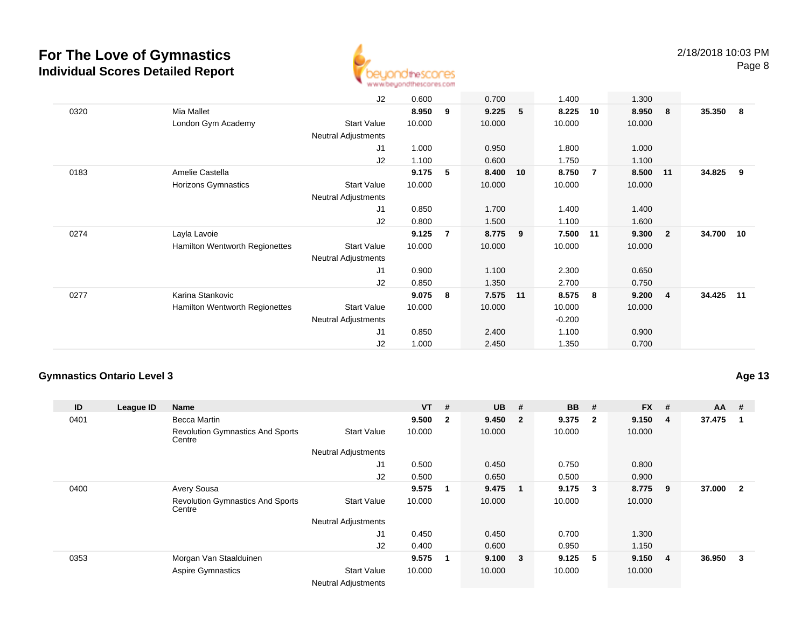

|      |                                | J2                         | 0.600  |                | 0.700    |   | 1.400    |                | 1.300  |                         |           |       |
|------|--------------------------------|----------------------------|--------|----------------|----------|---|----------|----------------|--------|-------------------------|-----------|-------|
| 0320 | Mia Mallet                     |                            | 8.950  | 9              | 9.225    | 5 | 8.225    | 10             | 8.950  | - 8                     | 35.350    | - 8   |
|      | London Gym Academy             | <b>Start Value</b>         | 10.000 |                | 10.000   |   | 10.000   |                | 10.000 |                         |           |       |
|      |                                | <b>Neutral Adjustments</b> |        |                |          |   |          |                |        |                         |           |       |
|      |                                | J1                         | 1.000  |                | 0.950    |   | 1.800    |                | 1.000  |                         |           |       |
|      |                                | J2                         | 1.100  |                | 0.600    |   | 1.750    |                | 1.100  |                         |           |       |
| 0183 | Amelie Castella                |                            | 9.175  | 5              | 8.400 10 |   | 8.750    | $\overline{7}$ | 8.500  | 11                      | 34.825    | - 9   |
|      | Horizons Gymnastics            | <b>Start Value</b>         | 10.000 |                | 10.000   |   | 10.000   |                | 10.000 |                         |           |       |
|      |                                | Neutral Adjustments        |        |                |          |   |          |                |        |                         |           |       |
|      |                                | J1                         | 0.850  |                | 1.700    |   | 1.400    |                | 1.400  |                         |           |       |
|      |                                | J2                         | 0.800  |                | 1.500    |   | 1.100    |                | 1.600  |                         |           |       |
| 0274 | Layla Lavoie                   |                            | 9.125  | $\overline{7}$ | 8.775    | 9 | 7.500    | 11             | 9.300  | $\overline{\mathbf{2}}$ | 34.700 10 |       |
|      | Hamilton Wentworth Regionettes | <b>Start Value</b>         | 10.000 |                | 10.000   |   | 10.000   |                | 10.000 |                         |           |       |
|      |                                | <b>Neutral Adjustments</b> |        |                |          |   |          |                |        |                         |           |       |
|      |                                | J1                         | 0.900  |                | 1.100    |   | 2.300    |                | 0.650  |                         |           |       |
|      |                                | J2                         | 0.850  |                | 1.350    |   | 2.700    |                | 0.750  |                         |           |       |
| 0277 | Karina Stankovic               |                            | 9.075  | 8              | 7.575 11 |   | 8.575    | 8              | 9.200  | $\overline{4}$          | 34.425    | $-11$ |
|      | Hamilton Wentworth Regionettes | <b>Start Value</b>         | 10.000 |                | 10.000   |   | 10.000   |                | 10.000 |                         |           |       |
|      |                                | <b>Neutral Adjustments</b> |        |                |          |   | $-0.200$ |                |        |                         |           |       |
|      |                                | J1                         | 0.850  |                | 2.400    |   | 1.100    |                | 0.900  |                         |           |       |
|      |                                | J2                         | 1.000  |                | 2.450    |   | 1.350    |                | 0.700  |                         |           |       |

### **Gymnastics Ontario Level 3**

**Age 13**

| ID   | League ID | Name                                              |                            | $VT$ # |              | <b>UB</b> | #                       | <b>BB</b> | #                       | <b>FX</b> | #                       | <b>AA</b> | #              |
|------|-----------|---------------------------------------------------|----------------------------|--------|--------------|-----------|-------------------------|-----------|-------------------------|-----------|-------------------------|-----------|----------------|
| 0401 |           | Becca Martin                                      |                            | 9.500  | $\mathbf{2}$ | 9.450     | $\overline{\mathbf{2}}$ | 9.375     | $\overline{\mathbf{2}}$ | 9.150     | -4                      | 37.475    |                |
|      |           | <b>Revolution Gymnastics And Sports</b><br>Centre | <b>Start Value</b>         | 10.000 |              | 10.000    |                         | 10.000    |                         | 10.000    |                         |           |                |
|      |           |                                                   | <b>Neutral Adjustments</b> |        |              |           |                         |           |                         |           |                         |           |                |
|      |           |                                                   | J <sub>1</sub>             | 0.500  |              | 0.450     |                         | 0.750     |                         | 0.800     |                         |           |                |
|      |           |                                                   | J2                         | 0.500  |              | 0.650     |                         | 0.500     |                         | 0.900     |                         |           |                |
| 0400 |           | <b>Avery Sousa</b>                                |                            | 9.575  | 1            | 9.475     |                         | 9.175     | $\mathbf{3}$            | 8.775     | -9                      | 37.000    | $\overline{2}$ |
|      |           | <b>Revolution Gymnastics And Sports</b><br>Centre | <b>Start Value</b>         | 10.000 |              | 10.000    |                         | 10.000    |                         | 10.000    |                         |           |                |
|      |           |                                                   | <b>Neutral Adjustments</b> |        |              |           |                         |           |                         |           |                         |           |                |
|      |           |                                                   | J1                         | 0.450  |              | 0.450     |                         | 0.700     |                         | 1.300     |                         |           |                |
|      |           |                                                   | J2                         | 0.400  |              | 0.600     |                         | 0.950     |                         | 1.150     |                         |           |                |
| 0353 |           | Morgan Van Staalduinen                            |                            | 9.575  | $\mathbf{1}$ | 9.100     | $\overline{\mathbf{3}}$ | 9.125     | $-5$                    | 9.150     | $\overline{\mathbf{4}}$ | 36.950    | 3              |
|      |           | <b>Aspire Gymnastics</b>                          | <b>Start Value</b>         | 10.000 |              | 10.000    |                         | 10.000    |                         | 10.000    |                         |           |                |
|      |           |                                                   | <b>Neutral Adjustments</b> |        |              |           |                         |           |                         |           |                         |           |                |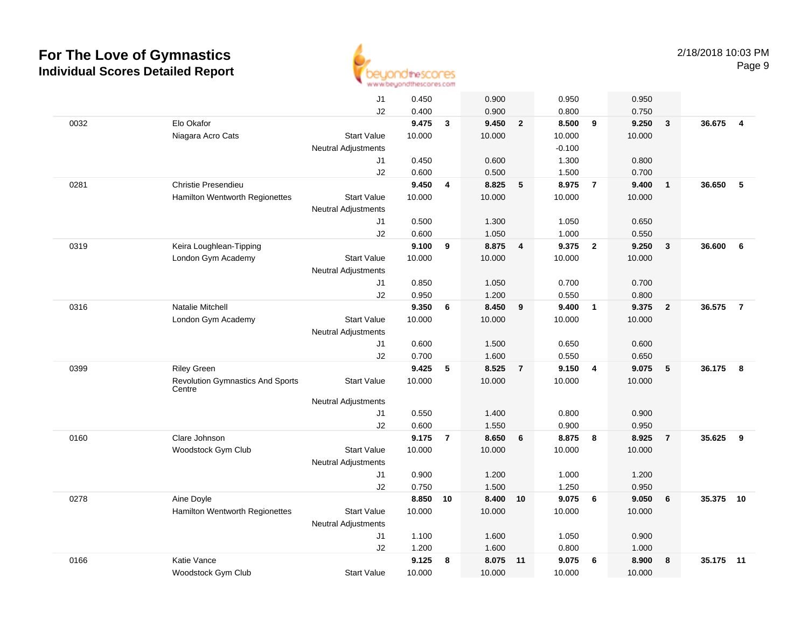

|      |                                         | J1                         | 0.450          |                | 0.900  |                | 0.950          |                         | 0.950          |                 |        |                |
|------|-----------------------------------------|----------------------------|----------------|----------------|--------|----------------|----------------|-------------------------|----------------|-----------------|--------|----------------|
|      |                                         | J2                         | 0.400          |                | 0.900  |                | 0.800          |                         | 0.750          |                 |        |                |
| 0032 | Elo Okafor                              |                            | 9.475          | $\mathbf{3}$   | 9.450  | $\overline{2}$ | 8.500          | 9                       | 9.250          | 3               | 36.675 | $\overline{4}$ |
|      | Niagara Acro Cats                       | <b>Start Value</b>         | 10.000         |                | 10.000 |                | 10.000         |                         | 10.000         |                 |        |                |
|      |                                         | <b>Neutral Adjustments</b> |                |                |        |                | $-0.100$       |                         |                |                 |        |                |
|      |                                         | J1                         | 0.450          |                | 0.600  |                | 1.300          |                         | 0.800          |                 |        |                |
|      |                                         | J2                         | 0.600          |                | 0.500  |                | 1.500          |                         | 0.700          |                 |        |                |
| 0281 | Christie Presendieu                     |                            | 9.450          | 4              | 8.825  | 5              | 8.975          | $\overline{7}$          | 9.400          | $\mathbf{1}$    | 36.650 | 5              |
|      | Hamilton Wentworth Regionettes          | <b>Start Value</b>         | 10.000         |                | 10.000 |                | 10.000         |                         | 10.000         |                 |        |                |
|      |                                         | <b>Neutral Adjustments</b> |                |                |        |                |                |                         |                |                 |        |                |
|      |                                         | J1                         | 0.500          |                | 1.300  |                | 1.050          |                         | 0.650          |                 |        |                |
|      |                                         | J2                         | 0.600          |                | 1.050  |                | 1.000          |                         | 0.550          |                 |        |                |
| 0319 | Keira Loughlean-Tipping                 |                            | 9.100          | 9              | 8.875  | $\overline{4}$ | 9.375          | $\overline{\mathbf{2}}$ | 9.250          | $\mathbf{3}$    | 36.600 | 6              |
|      | London Gym Academy                      | <b>Start Value</b>         | 10.000         |                | 10.000 |                | 10.000         |                         | 10.000         |                 |        |                |
|      |                                         | <b>Neutral Adjustments</b> |                |                | 1.050  |                |                |                         |                |                 |        |                |
|      |                                         | J1<br>J2                   | 0.850<br>0.950 |                | 1.200  |                | 0.700<br>0.550 |                         | 0.700<br>0.800 |                 |        |                |
| 0316 | <b>Natalie Mitchell</b>                 |                            | 9.350          | 6              | 8.450  | 9              | 9.400          | $\overline{1}$          | 9.375          | $\overline{2}$  | 36.575 | $\overline{7}$ |
|      | London Gym Academy                      | <b>Start Value</b>         | 10.000         |                | 10.000 |                | 10.000         |                         | 10.000         |                 |        |                |
|      |                                         | <b>Neutral Adjustments</b> |                |                |        |                |                |                         |                |                 |        |                |
|      |                                         | J1                         | 0.600          |                | 1.500  |                | 0.650          |                         | 0.600          |                 |        |                |
|      |                                         | J2                         | 0.700          |                | 1.600  |                | 0.550          |                         | 0.650          |                 |        |                |
| 0399 | <b>Riley Green</b>                      |                            | 9.425          | 5              | 8.525  | $\overline{7}$ | 9.150          | $\overline{\mathbf{4}}$ | 9.075          | $5\phantom{.0}$ | 36.175 | 8              |
|      | <b>Revolution Gymnastics And Sports</b> | <b>Start Value</b>         | 10.000         |                | 10.000 |                | 10.000         |                         | 10.000         |                 |        |                |
|      | Centre                                  |                            |                |                |        |                |                |                         |                |                 |        |                |
|      |                                         | Neutral Adjustments        |                |                |        |                |                |                         |                |                 |        |                |
|      |                                         | J1                         | 0.550          |                | 1.400  |                | 0.800          |                         | 0.900          |                 |        |                |
|      |                                         | J2                         | 0.600          |                | 1.550  |                | 0.900          |                         | 0.950          |                 |        |                |
| 0160 | Clare Johnson                           |                            | 9.175          | $\overline{7}$ | 8.650  | 6              | 8.875          | 8                       | 8.925          | $\overline{7}$  | 35.625 | 9              |
|      | Woodstock Gym Club                      | <b>Start Value</b>         | 10.000         |                | 10.000 |                | 10.000         |                         | 10.000         |                 |        |                |
|      |                                         | Neutral Adjustments<br>J1  | 0.900          |                | 1.200  |                | 1.000          |                         | 1.200          |                 |        |                |
|      |                                         | J2                         | 0.750          |                | 1.500  |                | 1.250          |                         | 0.950          |                 |        |                |
| 0278 | Aine Doyle                              |                            | 8.850          | 10             | 8.400  | 10             | 9.075          | 6                       | 9.050          | 6               | 35.375 | 10             |
|      | Hamilton Wentworth Regionettes          | <b>Start Value</b>         | 10.000         |                | 10.000 |                | 10.000         |                         | 10.000         |                 |        |                |
|      |                                         | Neutral Adjustments        |                |                |        |                |                |                         |                |                 |        |                |
|      |                                         | J1                         | 1.100          |                | 1.600  |                | 1.050          |                         | 0.900          |                 |        |                |
|      |                                         | J2                         | 1.200          |                | 1.600  |                | 0.800          |                         | 1.000          |                 |        |                |
| 0166 | Katie Vance                             |                            | 9.125          | 8              | 8.075  | 11             | 9.075          | 6                       | 8.900          | 8               | 35.175 | 11             |
|      | Woodstock Gym Club                      | <b>Start Value</b>         | 10.000         |                | 10.000 |                | 10.000         |                         | 10.000         |                 |        |                |
|      |                                         |                            |                |                |        |                |                |                         |                |                 |        |                |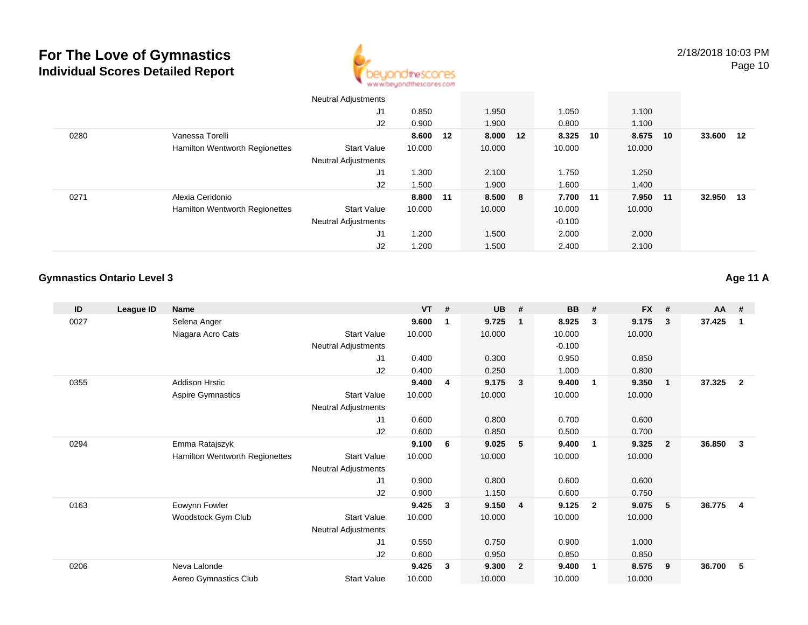

|      |                                       | <b>Neutral Adjustments</b> |          |          |          |             |      |        |      |
|------|---------------------------------------|----------------------------|----------|----------|----------|-------------|------|--------|------|
|      |                                       | J1                         | 0.850    | 1.950    | 1.050    | 1.100       |      |        |      |
|      |                                       | J2                         | 0.900    | 1.900    | 0.800    | 1.100       |      |        |      |
| 0280 | Vanessa Torelli                       |                            | 8.600 12 | 8.000 12 | 8.325    | 8.675<br>10 | 10   | 33.600 | - 12 |
|      | Hamilton Wentworth Regionettes        | <b>Start Value</b>         | 10.000   | 10.000   | 10.000   | 10.000      |      |        |      |
|      |                                       | <b>Neutral Adjustments</b> |          |          |          |             |      |        |      |
|      |                                       | J1                         | 1.300    | 2.100    | 1.750    | 1.250       |      |        |      |
|      |                                       | J2                         | 1.500    | 1.900    | 1.600    | 1.400       |      |        |      |
| 0271 | Alexia Ceridonio                      |                            | 8.800 11 | 8.500 8  | 7.700 11 | 7.950       | - 11 | 32.950 | -13  |
|      | <b>Hamilton Wentworth Regionettes</b> | <b>Start Value</b>         | 10.000   | 10.000   | 10.000   | 10.000      |      |        |      |
|      |                                       | <b>Neutral Adjustments</b> |          |          | $-0.100$ |             |      |        |      |
|      |                                       | J1                         | 1.200    | 1.500    | 2.000    | 2.000       |      |        |      |
|      |                                       | J2                         | 1.200    | 1.500    | 2.400    | 2.100       |      |        |      |

### **Gymnastics Ontario Level 3**

**Age 11 A**

| ID   | League ID | <b>Name</b>                    |                            | <b>VT</b> | # | <b>UB</b> | #              | <b>BB</b> | #                       | <b>FX</b> | #                       | <b>AA</b> | -#             |
|------|-----------|--------------------------------|----------------------------|-----------|---|-----------|----------------|-----------|-------------------------|-----------|-------------------------|-----------|----------------|
| 0027 |           | Selena Anger                   |                            | 9.600     | 1 | 9.725     |                | 8.925     | 3                       | 9.175     | 3                       | 37.425    | 1              |
|      |           | Niagara Acro Cats              | <b>Start Value</b>         | 10.000    |   | 10.000    |                | 10.000    |                         | 10.000    |                         |           |                |
|      |           |                                | Neutral Adjustments        |           |   |           |                | $-0.100$  |                         |           |                         |           |                |
|      |           |                                | J1                         | 0.400     |   | 0.300     |                | 0.950     |                         | 0.850     |                         |           |                |
|      |           |                                | J2                         | 0.400     |   | 0.250     |                | 1.000     |                         | 0.800     |                         |           |                |
| 0355 |           | <b>Addison Hrstic</b>          |                            | 9.400     | 4 | 9.175     | $\mathbf{3}$   | 9.400     | $\overline{\mathbf{1}}$ | 9.350     | $\overline{\mathbf{1}}$ | 37.325    | $\overline{2}$ |
|      |           | Aspire Gymnastics              | <b>Start Value</b>         | 10.000    |   | 10.000    |                | 10.000    |                         | 10.000    |                         |           |                |
|      |           |                                | Neutral Adjustments        |           |   |           |                |           |                         |           |                         |           |                |
|      |           |                                | J1                         | 0.600     |   | 0.800     |                | 0.700     |                         | 0.600     |                         |           |                |
|      |           |                                | J2                         | 0.600     |   | 0.850     |                | 0.500     |                         | 0.700     |                         |           |                |
| 0294 |           | Emma Ratajszyk                 |                            | 9.100     | 6 | 9.025     | 5              | 9.400     | $\overline{\mathbf{1}}$ | 9.325     | $\overline{2}$          | 36.850    | 3              |
|      |           | Hamilton Wentworth Regionettes | <b>Start Value</b>         | 10.000    |   | 10.000    |                | 10.000    |                         | 10.000    |                         |           |                |
|      |           |                                | <b>Neutral Adjustments</b> |           |   |           |                |           |                         |           |                         |           |                |
|      |           |                                | J1                         | 0.900     |   | 0.800     |                | 0.600     |                         | 0.600     |                         |           |                |
|      |           |                                | J2                         | 0.900     |   | 1.150     |                | 0.600     |                         | 0.750     |                         |           |                |
| 0163 |           | Eowynn Fowler                  |                            | 9.425     | 3 | 9.150     | $\overline{4}$ | 9.125     | $\overline{2}$          | 9.075     | 5                       | 36.775    | 4              |
|      |           | Woodstock Gym Club             | <b>Start Value</b>         | 10.000    |   | 10.000    |                | 10.000    |                         | 10.000    |                         |           |                |
|      |           |                                | Neutral Adjustments        |           |   |           |                |           |                         |           |                         |           |                |
|      |           |                                | J1                         | 0.550     |   | 0.750     |                | 0.900     |                         | 1.000     |                         |           |                |
|      |           |                                | J2                         | 0.600     |   | 0.950     |                | 0.850     |                         | 0.850     |                         |           |                |
| 0206 |           | Neva Lalonde                   |                            | 9.425     | 3 | 9.300     | $\overline{2}$ | 9.400     | $\overline{\mathbf{1}}$ | 8.575     | 9                       | 36.700    | 5              |
|      |           | Aereo Gymnastics Club          | <b>Start Value</b>         | 10.000    |   | 10.000    |                | 10.000    |                         | 10.000    |                         |           |                |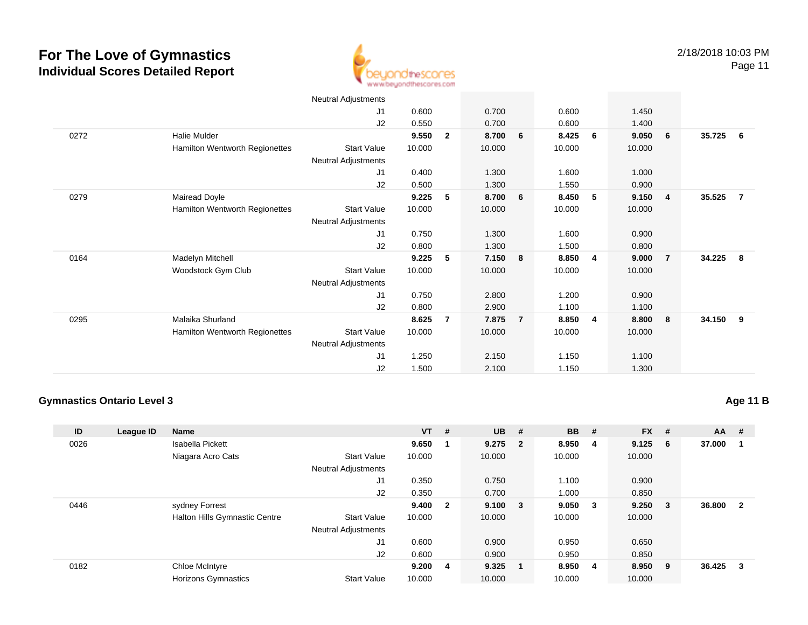0272

0279

0164

0295



Neutral Adjustments J1 0.600 0.700 0.600 1.450 J2 0.550 0.700 0.600 1.400 Halie Mulder **9.550 <sup>2</sup> 8.700 <sup>6</sup> 8.425 <sup>6</sup> 9.050 <sup>6</sup> 35.725 <sup>6</sup>** Hamilton Wentworth Regionettes Start Valuee 10.000 10.000 10.000 10.000 Neutral AdjustmentsJ1 0.400 1.300 1.600 1.000 J2 0.500 1.300 1.550 0.900 Mairead Doyle **9.225 <sup>5</sup> 8.700 <sup>6</sup> 8.450 <sup>5</sup> 9.150 <sup>4</sup> 35.525 <sup>7</sup>** Hamilton Wentworth Regionettes Start Valuee 10.000 10.000 10.000 10.000 Neutral Adjustments J1 0.750 1.300 1.600 0.900 J2 0.800 1.300 1.500 0.800 Madelyn Mitchell **9.225 <sup>5</sup> 7.150 <sup>8</sup> 8.850 <sup>4</sup> 9.000 <sup>7</sup> 34.225 <sup>8</sup>** Woodstock Gym Club Start Value 10.000 10.000 10.000 10.000 Neutral Adjustments J1 0.750 2.800 1.200 0.900 J2 0.800 2.900 1.100 1.100 Malaika Shurland **8.625 <sup>7</sup> 7.875 <sup>7</sup> 8.850 <sup>4</sup> 8.800 <sup>8</sup> 34.150 <sup>9</sup>** Hamilton Wentworth Regionettes Start Valuee 10.000 10.000 10.000 10.000 Neutral Adjustments J1 1.250 2.150 1.150 1.100 J21.500 2.100 1.150 1.300

#### **Gymnastics Ontario Level 3**

**ID League ID Name VT # UB # BB # FX # AA #** 0026 Isabella Pickett **9.650 <sup>1</sup> 9.275 <sup>2</sup> 8.950 <sup>4</sup> 9.125 <sup>6</sup> 37.000 <sup>1</sup>** Niagara Acro Cats Start Valuee 10.000 10.000 10.000 10.000 Neutral Adjustments J1 0.350 0.750 1.100 0.900 J2 0.350 0.700 1.000 0.850 0446 sydney Forrest **9.400 <sup>2</sup> 9.100 <sup>3</sup> 9.050 <sup>3</sup> 9.250 <sup>3</sup> 36.800 <sup>2</sup>** Halton Hills Gymnastic Centre Start Value 10.000 10.000 10.000 10.000 Neutral Adjustments J1 0.600 0.900 0.950 0.650 J2 0.600 0.900 0.950 0.850 0182 Chloe McIntyre **9.200 <sup>4</sup> 9.325 <sup>1</sup> 8.950 <sup>4</sup> 8.950 <sup>9</sup> 36.425 <sup>3</sup>** Horizons Gymnastics Start Valuee 10.000 10.000 10.000 10.000

### **Age 11 B**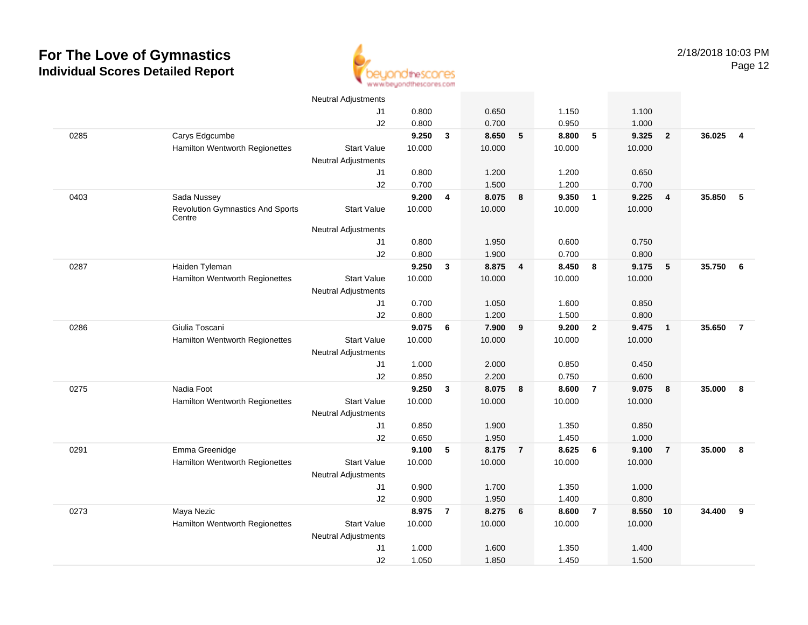

|      |                                                   | <b>Neutral Adjustments</b> |        |                         |        |                         |        |                         |        |                |          |                |
|------|---------------------------------------------------|----------------------------|--------|-------------------------|--------|-------------------------|--------|-------------------------|--------|----------------|----------|----------------|
|      |                                                   | J1                         | 0.800  |                         | 0.650  |                         | 1.150  |                         | 1.100  |                |          |                |
|      |                                                   | J2                         | 0.800  |                         | 0.700  |                         | 0.950  |                         | 1.000  |                |          |                |
| 0285 | Carys Edgcumbe                                    |                            | 9.250  | $\mathbf{3}$            | 8.650  | 5                       | 8.800  | 5                       | 9.325  | $\overline{2}$ | 36.025   | $\overline{4}$ |
|      | Hamilton Wentworth Regionettes                    | <b>Start Value</b>         | 10.000 |                         | 10.000 |                         | 10.000 |                         | 10.000 |                |          |                |
|      |                                                   | <b>Neutral Adjustments</b> |        |                         |        |                         |        |                         |        |                |          |                |
|      |                                                   | J1                         | 0.800  |                         | 1.200  |                         | 1.200  |                         | 0.650  |                |          |                |
|      |                                                   | J2                         | 0.700  |                         | 1.500  |                         | 1.200  |                         | 0.700  |                |          |                |
| 0403 | Sada Nussey                                       |                            | 9.200  | 4                       | 8.075  | 8                       | 9.350  | $\overline{1}$          | 9.225  | $\overline{4}$ | 35.850   | 5              |
|      | <b>Revolution Gymnastics And Sports</b><br>Centre | <b>Start Value</b>         | 10.000 |                         | 10.000 |                         | 10.000 |                         | 10.000 |                |          |                |
|      |                                                   | <b>Neutral Adjustments</b> |        |                         |        |                         |        |                         |        |                |          |                |
|      |                                                   | J1                         | 0.800  |                         | 1.950  |                         | 0.600  |                         | 0.750  |                |          |                |
|      |                                                   | J2                         | 0.800  |                         | 1.900  |                         | 0.700  |                         | 0.800  |                |          |                |
| 0287 | Haiden Tyleman                                    |                            | 9.250  | $\overline{\mathbf{3}}$ | 8.875  | $\overline{\mathbf{4}}$ | 8.450  | $\overline{\mathbf{8}}$ | 9.175  | 5              | 35.750 6 |                |
|      | Hamilton Wentworth Regionettes                    | <b>Start Value</b>         | 10.000 |                         | 10.000 |                         | 10.000 |                         | 10.000 |                |          |                |
|      |                                                   | <b>Neutral Adjustments</b> |        |                         |        |                         |        |                         |        |                |          |                |
|      |                                                   | J1                         | 0.700  |                         | 1.050  |                         | 1.600  |                         | 0.850  |                |          |                |
|      |                                                   | J2                         | 0.800  |                         | 1.200  |                         | 1.500  |                         | 0.800  |                |          |                |
| 0286 | Giulia Toscani                                    |                            | 9.075  | 6                       | 7.900  | 9                       | 9.200  | $\overline{\mathbf{2}}$ | 9.475  | $\overline{1}$ | 35.650   | $\overline{7}$ |
|      | Hamilton Wentworth Regionettes                    | <b>Start Value</b>         | 10.000 |                         | 10.000 |                         | 10.000 |                         | 10.000 |                |          |                |
|      |                                                   | <b>Neutral Adjustments</b> |        |                         |        |                         |        |                         |        |                |          |                |
|      |                                                   | J1                         | 1.000  |                         | 2.000  |                         | 0.850  |                         | 0.450  |                |          |                |
|      |                                                   | J2                         | 0.850  |                         | 2.200  |                         | 0.750  |                         | 0.600  |                |          |                |
| 0275 | Nadia Foot                                        |                            | 9.250  | $\mathbf{3}$            | 8.075  | 8                       | 8.600  | $\overline{7}$          | 9.075  | 8              | 35.000   | 8              |
|      | Hamilton Wentworth Regionettes                    | <b>Start Value</b>         | 10.000 |                         | 10.000 |                         | 10.000 |                         | 10.000 |                |          |                |
|      |                                                   | <b>Neutral Adjustments</b> |        |                         |        |                         |        |                         |        |                |          |                |
|      |                                                   | J1                         | 0.850  |                         | 1.900  |                         | 1.350  |                         | 0.850  |                |          |                |
|      |                                                   | J2                         | 0.650  |                         | 1.950  |                         | 1.450  |                         | 1.000  |                |          |                |
| 0291 | Emma Greenidge                                    |                            | 9.100  | 5                       | 8.175  | $\overline{7}$          | 8.625  | 6                       | 9.100  | $\overline{7}$ | 35.000   | 8              |
|      | <b>Hamilton Wentworth Regionettes</b>             | <b>Start Value</b>         | 10.000 |                         | 10.000 |                         | 10.000 |                         | 10.000 |                |          |                |
|      |                                                   | <b>Neutral Adjustments</b> |        |                         |        |                         |        |                         |        |                |          |                |
|      |                                                   | J1                         | 0.900  |                         | 1.700  |                         | 1.350  |                         | 1.000  |                |          |                |
|      |                                                   | J2                         | 0.900  |                         | 1.950  |                         | 1.400  |                         | 0.800  |                |          |                |
| 0273 | Maya Nezic                                        |                            | 8.975  | $\overline{7}$          | 8.275  | 6                       | 8.600  | $\overline{7}$          | 8.550  | 10             | 34.400   | 9              |
|      | Hamilton Wentworth Regionettes                    | <b>Start Value</b>         | 10.000 |                         | 10.000 |                         | 10.000 |                         | 10.000 |                |          |                |
|      |                                                   | <b>Neutral Adjustments</b> |        |                         |        |                         |        |                         |        |                |          |                |
|      |                                                   | J1                         | 1.000  |                         | 1.600  |                         | 1.350  |                         | 1.400  |                |          |                |
|      |                                                   | J2                         | 1.050  |                         | 1.850  |                         | 1.450  |                         | 1.500  |                |          |                |